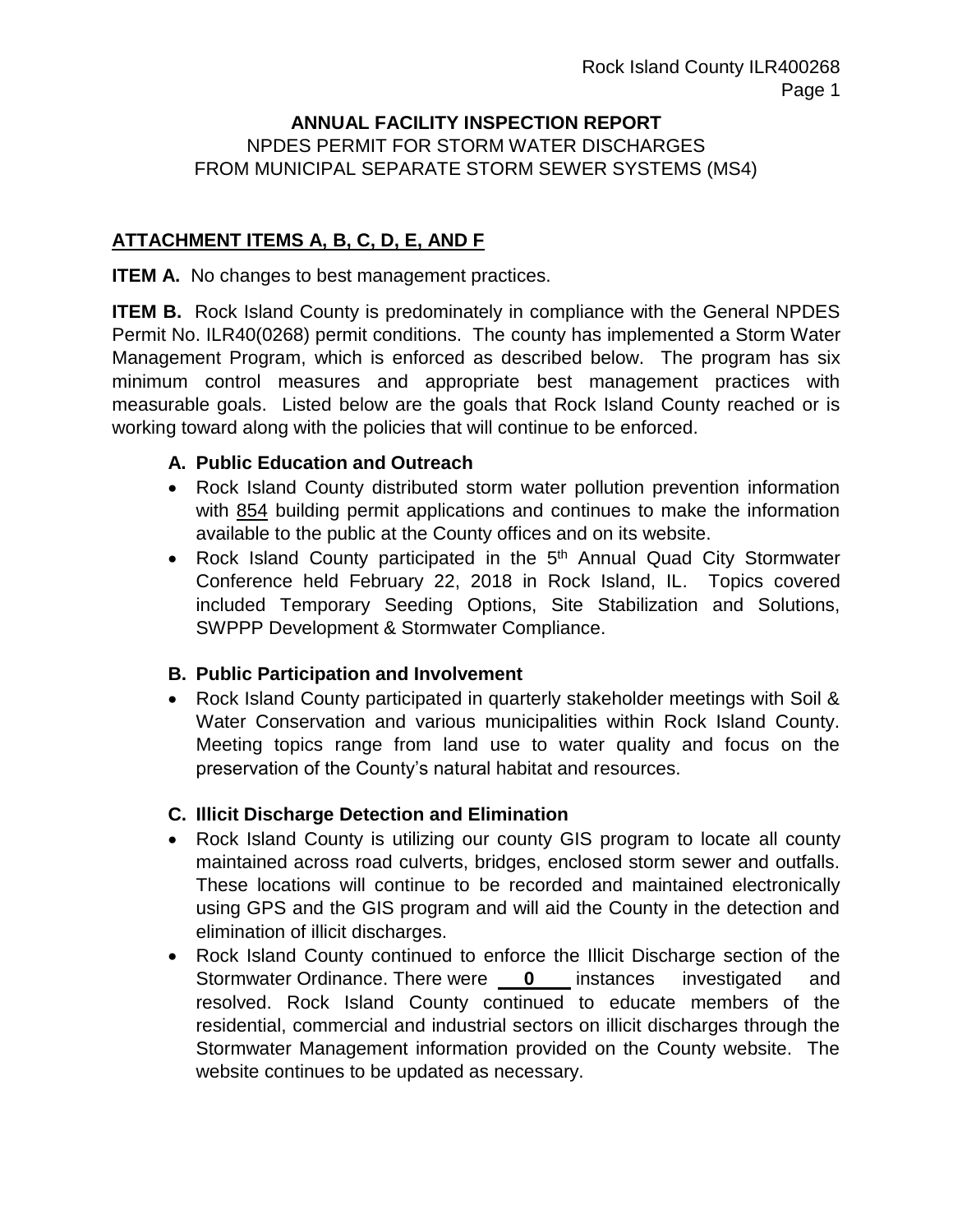#### **ANNUAL FACILITY INSPECTION REPORT** NPDES PERMIT FOR STORM WATER DISCHARGES FROM MUNICIPAL SEPARATE STORM SEWER SYSTEMS (MS4)

### **ATTACHMENT ITEMS A, B, C, D, E, AND F**

**ITEM A.** No changes to best management practices.

**ITEM B.** Rock Island County is predominately in compliance with the General NPDES Permit No. ILR40(0268) permit conditions. The county has implemented a Storm Water Management Program, which is enforced as described below. The program has six minimum control measures and appropriate best management practices with measurable goals. Listed below are the goals that Rock Island County reached or is working toward along with the policies that will continue to be enforced.

#### **A. Public Education and Outreach**

- Rock Island County distributed storm water pollution prevention information with 854 building permit applications and continues to make the information available to the public at the County offices and on its website.
- Rock Island County participated in the 5<sup>th</sup> Annual Quad City Stormwater Conference held February 22, 2018 in Rock Island, IL. Topics covered included Temporary Seeding Options, Site Stabilization and Solutions, SWPPP Development & Stormwater Compliance.

#### **B. Public Participation and Involvement**

 Rock Island County participated in quarterly stakeholder meetings with Soil & Water Conservation and various municipalities within Rock Island County. Meeting topics range from land use to water quality and focus on the preservation of the County's natural habitat and resources.

#### **C. Illicit Discharge Detection and Elimination**

- Rock Island County is utilizing our county GIS program to locate all county maintained across road culverts, bridges, enclosed storm sewer and outfalls. These locations will continue to be recorded and maintained electronically using GPS and the GIS program and will aid the County in the detection and elimination of illicit discharges.
- Rock Island County continued to enforce the Illicit Discharge section of the Stormwater Ordinance. There were **0** instances investigated and resolved. Rock Island County continued to educate members of the residential, commercial and industrial sectors on illicit discharges through the Stormwater Management information provided on the County website. The website continues to be updated as necessary.